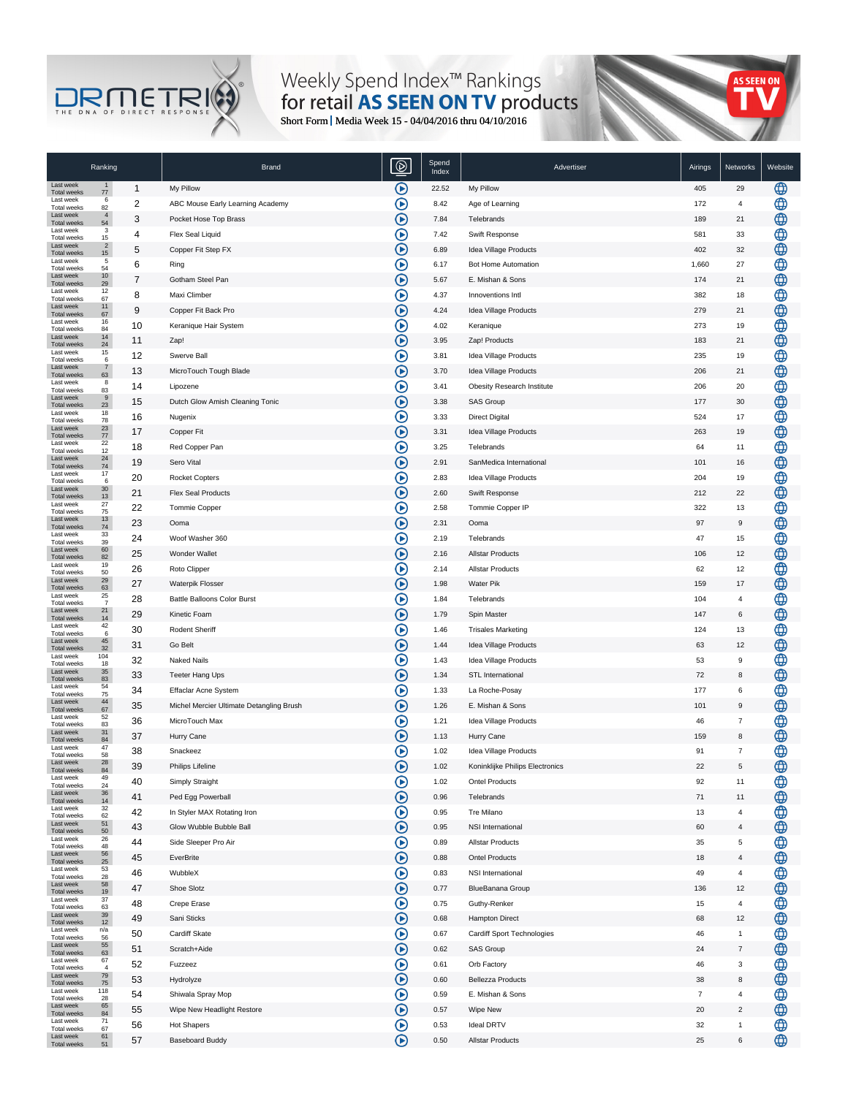## Short Form Media Week 15 - 04/04/2016 thru 04/10/2016

|                                  | Ranking                |                | <b>Brand</b>                             | Spend<br>Index | Advertiser                                               | Airings        | Networks             | Website |
|----------------------------------|------------------------|----------------|------------------------------------------|----------------|----------------------------------------------------------|----------------|----------------------|---------|
| Last week<br>Total weeks         | $\mathbf{1}$<br>$77$   | $\mathbf{1}$   | My Pillow                                | 22.52          | My Pillow                                                | 405            | 29                   |         |
| Last week<br>Total weeks         | 6<br>82                | $\overline{c}$ | ABC Mouse Early Learning Academy         | 8.42           | Age of Learning                                          | 172            | $\overline{4}$       |         |
| Last week<br><b>Total weeks</b>  | $\overline{4}$<br>54   | 3              | Pocket Hose Top Brass                    | 7.84           | Telebrands                                               | 189            | 21                   |         |
| Last week<br>Total weeks         | 3<br>15                | 4              | Flex Seal Liquid                         | 7.42           | Swift Response                                           | 581            | 33                   |         |
| Last week<br><b>Total weeks</b>  | $\overline{2}$<br>15   | 5              | Copper Fit Step FX                       | 6.89           | Idea Village Products                                    | 402            | 32                   |         |
| Last week<br>Total weeks         | 5<br>54                | 6              | Ring                                     | 6.17           | Bot Home Automation                                      | 1,660          | 27                   |         |
| Last week<br>Total weeks         | 10 <sup>10</sup><br>29 | $\overline{7}$ | Gotham Steel Pan                         | 5.67           | E. Mishan & Sons                                         | 174            | 21                   |         |
| Last week<br>Total weeks         | 12<br>67               | 8              | Maxi Climber                             | 4.37           | Innoventions Intl                                        | 382            | 18                   |         |
| Last week<br><b>Total weeks</b>  | 11<br>67               | 9              | Copper Fit Back Pro                      | 4.24           | Idea Village Products                                    | 279            | 21                   |         |
| Last week<br>Total weeks         | 16<br>84               | 10             | Keranique Hair System                    | 4.02           | Keranique                                                | 273            | 19                   |         |
| Last week<br>Total weeks         | 14<br>24               | 11             | Zap!                                     | 3.95           | Zap! Products                                            | 183            | 21                   |         |
| Last week<br>Total weeks         | 15<br>6                | 12             | Swerve Ball                              | 3.81           | Idea Village Products                                    | 235            | 19                   |         |
| Last week                        | $\overline{7}$<br>63   | 13             | MicroTouch Tough Blade                   | 3.70           | Idea Village Products                                    | 206            | 21                   |         |
| <b>Total weeks</b><br>Last week  | 8                      | 14             | Lipozene                                 | 3.41           | Obesity Research Institute                               | 206            | 20                   |         |
| Total weeks<br>Last week         | 83<br>9                | 15             | Dutch Glow Amish Cleaning Tonic          | 3.38           | SAS Group                                                | 177            | 30                   |         |
| <b>Total weeks</b><br>Last week  | 23<br>18               | 16             | Nugenix                                  | 3.33           | <b>Direct Digital</b>                                    | 524            | 17                   |         |
| Total weeks<br>Last week         | 78<br>23               | 17             | Copper Fit                               | 3.31           | Idea Village Products                                    | 263            | 19                   |         |
| <b>Total weeks</b><br>Last week  | 77<br>22               | 18             | Red Copper Pan                           | 3.25           | Telebrands                                               | 64             | 11                   |         |
| Total weeks<br>Last week         | 12<br>24               | 19             | Sero Vital                               | 2.91           | SanMedica International                                  | 101            | 16                   |         |
| <b>Total weeks</b><br>Last week  | 74<br>17               | 20             | <b>Rocket Copters</b>                    | 2.83           | Idea Village Products                                    | 204            | 19                   |         |
| Total weeks<br>Last week         | 6<br>30 <sup>°</sup>   | 21             | Flex Seal Products                       | 2.60           | Swift Response                                           | 212            | 22                   |         |
| <b>Total weeks</b><br>Last week  | 13<br>27               | 22             | Tommie Copper                            | 2.58           | Tommie Copper IP                                         | 322            | 13                   |         |
| Total weeks<br>Last week         | 75<br>13               | 23             | Ooma                                     | 2.31           | Ooma                                                     | 97             | 9                    |         |
| <b>Total weeks</b><br>Last week  | 74<br>33               | 24             | Woof Washer 360                          | 2.19           | Telebrands                                               | 47             | 15                   |         |
| Total weeks<br>Last week         | 39<br>60               | 25             | Wonder Wallet                            | 2.16           | <b>Allstar Products</b>                                  | 106            | 12                   |         |
| <b>Total weeks</b><br>Last week  | 82<br>19               | 26             | Roto Clipper                             | 2.14           | <b>Allstar Products</b>                                  | 62             | 12                   |         |
| Total weeks<br>Last week         | 50<br>29               | 27             | Waterpik Flosser                         | 1.98           | <b>Water Pik</b>                                         | 159            | 17                   |         |
| <b>Total weeks</b><br>Last week  | 63<br>25               | 28             | Battle Balloons Color Burst              | 1.84           | Telebrands                                               | 104            | $\overline{4}$       |         |
| Total weeks<br>Last week         | $\overline{7}$<br>21   | 29             | Kinetic Foam                             | 1.79           | Spin Master                                              | 147            | 6                    |         |
| <b>Total weeks</b><br>Last week  | 14<br>42               | 30             | Rodent Sheriff                           | 1.46           | <b>Trisales Marketing</b>                                | 124            | 13                   |         |
| Total weeks<br>Last week         | 6<br>45                | 31             | Go Belt                                  | 1.44           | Idea Village Products                                    | 63             | 12                   |         |
| Total weeks<br>Last week         | 32<br>104              | 32             | <b>Naked Nails</b>                       | 1.43           | Idea Village Products                                    | 53             | 9                    |         |
| Total weeks<br>Last week         | 18<br>35               | 33             | Teeter Hang Ups                          | 1.34           | <b>STL International</b>                                 | 72             | 8                    |         |
| <b>Total weeks</b><br>Last week  | 83<br>54               | 34             | Effaclar Acne System                     | 1.33           | La Roche-Posay                                           | 177            | 6                    |         |
| <b>Total weeks</b><br>Last week  | 75<br>44               | 35             | Michel Mercier Ultimate Detangling Brush | 1.26           | E. Mishan & Sons                                         | 101            | 9                    |         |
| <b>Total weeks</b><br>I ast week | 67<br>52               | 36             | MicroTouch Max                           | 1.21           | Idea Village Products                                    | 46             | $\overline{7}$       |         |
| Total weeks<br>Last week         | 83<br>31               | 37             | Hurry Cane                               | 1.13           |                                                          | 159            |                      |         |
| <b>Total weeks</b><br>Last week  | 84<br>47               | 38             |                                          |                | Hurry Cane                                               | 91             | 8<br>$\overline{7}$  |         |
| <b>Total weeks</b><br>Last week  | 58<br>28               |                | Snackeez<br>Philips Lifeline             | 1.02<br>1.02   | Idea Village Products<br>Koninklijke Philips Electronics | 22             | 5                    |         |
| rotal weeks<br>Last week         | 84<br>49               | 39             | Simply Straight                          | 1.02           | <b>Ontel Products</b>                                    | 92             | 11                   |         |
| <b>Total weeks</b><br>Last week  | 24<br>36               | 40             | Ped Egg Powerball                        |                |                                                          |                |                      |         |
| Total weeks<br>Last week         | 14<br>32               | 41             | In Styler MAX Rotating Iron              | 0.96<br>0.95   | Telebrands<br>Tre Milano                                 | 71<br>13       | 11<br>$\overline{4}$ |         |
| Total weeks<br>Last week         | 62<br>51               | 42             | Glow Wubble Bubble Ball                  | 0.95           | <b>NSI</b> International                                 | 60             |                      |         |
| Total weeks<br>Last week         | 50<br>26               | 43             |                                          |                |                                                          |                | $\overline{4}$       |         |
| Total weeks<br>Last week         | 48<br>56               | 44             | Side Sleeper Pro Air                     | 0.89           | <b>Allstar Products</b>                                  | 35             | $\sqrt{5}$           |         |
| Total weeks<br>Last week         | 25<br>53               | 45             | EverBrite                                | 0.88           | <b>Ontel Products</b>                                    | 18             | $\overline{4}$       |         |
| Total weeks<br>Last week         | 28<br>58               | 46             | WubbleX                                  | 0.83           | <b>NSI International</b>                                 | 49             | $\sqrt{4}$           |         |
| Total weeks<br>Last week         | 19<br>37               | 47             | Shoe Slotz                               | 0.77           | BlueBanana Group                                         | 136            | 12                   |         |
| Total weeks<br>Last week         | 63<br>39               | 48             | Crepe Erase                              | 0.75           | Guthy-Renker                                             | 15             | $\overline{4}$       |         |
| Total weeks<br>Last week         | 12<br>n/a              | 49             | Sani Sticks                              | 0.68           | Hampton Direct                                           | 68             | 12                   |         |
| Total weeks<br>Last week         | 56<br>55               | 50             | Cardiff Skate                            | 0.67           | Cardiff Sport Technologies                               | 46             | $\mathbf{1}$         |         |
| <b>Total weeks</b><br>Last week  | 63<br>67               | 51             | Scratch+Aide                             | 0.62           | SAS Group                                                | 24             | $\overline{7}$       |         |
| <b>Total weeks</b><br>Last week  | $\overline{4}$<br>79   | 52             | Fuzzeez                                  | 0.61           | Orb Factory                                              | 46             | 3                    |         |
| Total weeks<br>Last week         | 75<br>118              | 53             | Hydrolyze                                | 0.60           | <b>Bellezza Products</b>                                 | 38             | 8                    |         |
| Total weeks<br>Last week         | 28<br>65               | 54             | Shiwala Spray Mop                        | 0.59           | E. Mishan & Sons                                         | $\overline{7}$ | $\overline{4}$       |         |
| Total weeks<br>Last week         | 84<br>71               | 55             | Wipe New Headlight Restore               | 0.57           | Wipe New                                                 | 20             | $\overline{2}$       |         |
| Total weeks                      | 67                     | 56             | Hot Shapers                              | 0.53           | <b>Ideal DRTV</b>                                        | 32             | $\mathbf{1}$         |         |
| Last week<br><b>Total weeks</b>  | 61<br>51               | 57             | <b>Baseboard Buddy</b>                   | 0.50           | <b>Allstar Products</b>                                  | 25             | 6                    |         |